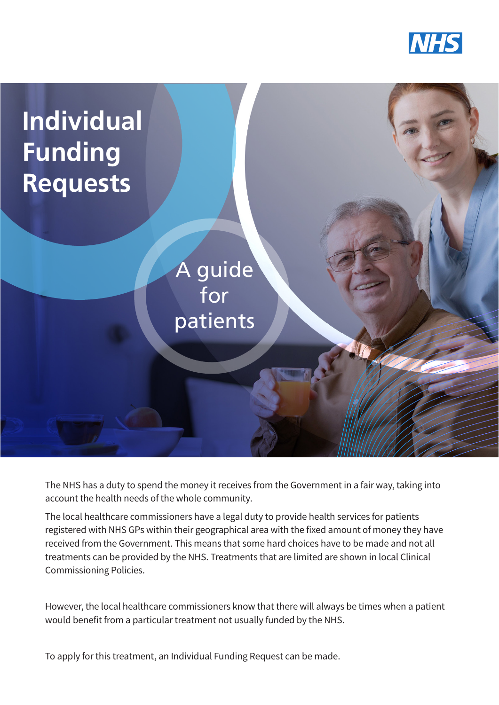



The NHS has a duty to spend the money it receives from the Government in a fair way, taking into account the health needs of the whole community.

The local healthcare commissioners have a legal duty to provide health services for patients registered with NHS GPs within their geographical area with the fixed amount of money they have received from the Government. This means that some hard choices have to be made and not all treatments can be provided by the NHS. Treatments that are limited are shown in local Clinical Commissioning Policies.

However, the local healthcare commissioners know that there will always be times when a patient would benefit from a particular treatment not usually funded by the NHS.

To apply for this treatment, an Individual Funding Request can be made.